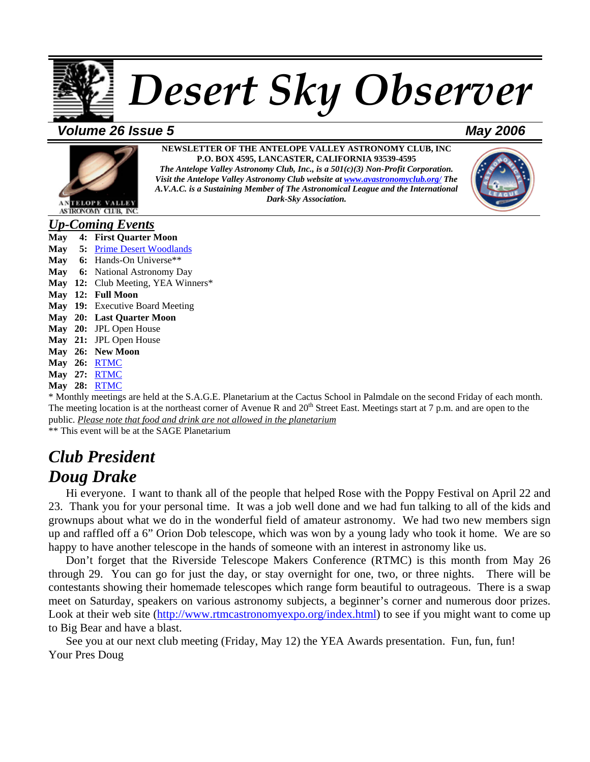# *Desert Sky Observer*

#### *Volume 26 Issue 5**May 2006*



**NEWSLETTER OF THE ANTELOPE VALLEY ASTRONOMY CLUB, INC P.O. BOX 4595, LANCASTER, CALIFORNIA 93539-4595**  *The Antelope Valley Astronomy Club, Inc., is a 501(c)(3) Non-Profit Corporation. Visit the Antelope Valley Astronomy Club website at [www.avastronomyclub.org/](http://www.avastronomyclub.org/) The A.V.A.C. is a Sustaining Member of The Astronomical League and the International* 

*Dark-Sky Association.*



### *Up-Coming Events*

- **May 4: First Quarter Moon**
- **May 5:** [Prime Desert Woodlands](http://www.avastronomyclub.org/sites/pd.htm)
- **May 6:** Hands-On Universe\*\*
- **May 6:** National Astronomy Day
- **May 12:** Club Meeting, YEA Winners\*
- **May 12: Full Moon**
- **May 19:** Executive Board Meeting
- **May 20: Last Quarter Moon**
- **May 20:** JPL Open House
- **May 21:** JPL Open House
- **May 26: New Moon**
- **May 26:** [RTMC](http://www.rtmcastronomyexpo.org/index.html)
- **May 27:** [RTMC](http://www.rtmcastronomyexpo.org/index.html)
- **May 28:** [RTMC](http://www.rtmcastronomyexpo.org/index.html)

\* Monthly meetings are held at the S.A.G.E. Planetarium at the Cactus School in Palmdale on the second Friday of each month. The meeting location is at the northeast corner of Avenue R and  $20<sup>th</sup>$  Street East. Meetings start at 7 p.m. and are open to the public. *Please note that food and drink are not allowed in the planetarium*

\*\* This event will be at the SAGE Planetarium

## *Club President Doug Drake*

Hi everyone. I want to thank all of the people that helped Rose with the Poppy Festival on April 22 and 23. Thank you for your personal time. It was a job well done and we had fun talking to all of the kids and grownups about what we do in the wonderful field of amateur astronomy. We had two new members sign up and raffled off a 6" Orion Dob telescope, which was won by a young lady who took it home. We are so happy to have another telescope in the hands of someone with an interest in astronomy like us.

Don't forget that the Riverside Telescope Makers Conference (RTMC) is this month from May 26 through 29. You can go for just the day, or stay overnight for one, two, or three nights. There will be contestants showing their homemade telescopes which range form beautiful to outrageous. There is a swap meet on Saturday, speakers on various astronomy subjects, a beginner's corner and numerous door prizes. Look at their web site [\(http://www.rtmcastronomyexpo.org/index.html\)](http://www.rtmcastronomyexpo.org/index.html) to see if you might want to come up to Big Bear and have a blast.

See you at our next club meeting (Friday, May 12) the YEA Awards presentation. Fun, fun, fun! Your Pres Doug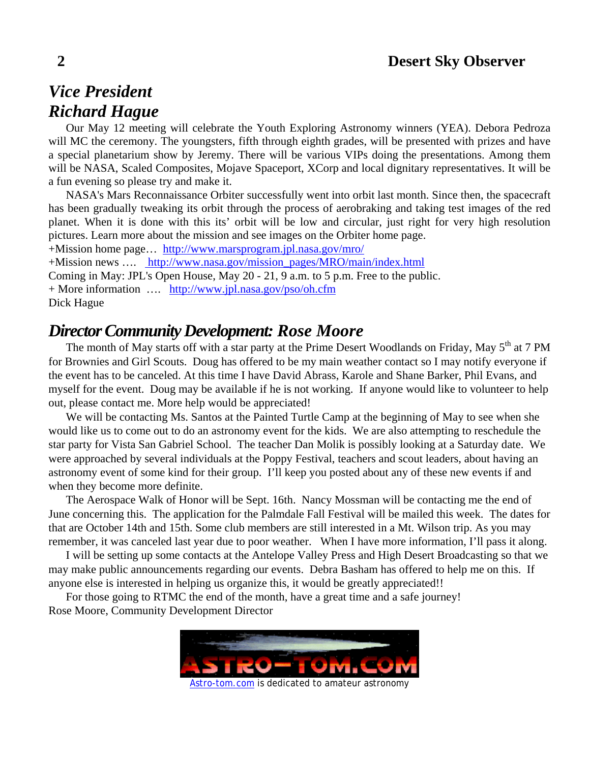## *Vice President Richard Hague*

Our May 12 meeting will celebrate the Youth Exploring Astronomy winners (YEA). Debora Pedroza will MC the ceremony. The youngsters, fifth through eighth grades, will be presented with prizes and have a special planetarium show by Jeremy. There will be various VIPs doing the presentations. Among them will be NASA, Scaled Composites, Mojave Spaceport, XCorp and local dignitary representatives. It will be a fun evening so please try and make it.

NASA's Mars Reconnaissance Orbiter successfully went into orbit last month. Since then, the spacecraft has been gradually tweaking its orbit through the process of aerobraking and taking test images of the red planet. When it is done with this its' orbit will be low and circular, just right for very high resolution pictures. Learn more about the mission and see images on the Orbiter home page.

+Mission home page… <http://www.marsprogram.jpl.nasa.gov/mro/>

+Mission news …. [http://www.nasa.gov/mission\\_pages/MRO/main/index.html](http://www.nasa.gov/mission_pages/MRO/main/index.html)

Coming in May: JPL's Open House, May 20 - 21, 9 a.m. to 5 p.m. Free to the public.

+ More information …. <http://www.jpl.nasa.gov/pso/oh.cfm>

Dick Hague

## *Director Community Development: Rose Moore*

The month of May starts off with a star party at the Prime Desert Woodlands on Friday, May 5<sup>th</sup> at 7 PM for Brownies and Girl Scouts. Doug has offered to be my main weather contact so I may notify everyone if the event has to be canceled. At this time I have David Abrass, Karole and Shane Barker, Phil Evans, and myself for the event. Doug may be available if he is not working. If anyone would like to volunteer to help out, please contact me. More help would be appreciated!

We will be contacting Ms. Santos at the Painted Turtle Camp at the beginning of May to see when she would like us to come out to do an astronomy event for the kids. We are also attempting to reschedule the star party for Vista San Gabriel School. The teacher Dan Molik is possibly looking at a Saturday date. We were approached by several individuals at the Poppy Festival, teachers and scout leaders, about having an astronomy event of some kind for their group. I'll keep you posted about any of these new events if and when they become more definite.

The Aerospace Walk of Honor will be Sept. 16th. Nancy Mossman will be contacting me the end of June concerning this. The application for the Palmdale Fall Festival will be mailed this week. The dates for that are October 14th and 15th. Some club members are still interested in a Mt. Wilson trip. As you may remember, it was canceled last year due to poor weather. When I have more information, I'll pass it along.

I will be setting up some contacts at the Antelope Valley Press and High Desert Broadcasting so that we may make public announcements regarding our events. Debra Basham has offered to help me on this. If anyone else is interested in helping us organize this, it would be greatly appreciated!!

For those going to RTMC the end of the month, have a great time and a safe journey! Rose Moore, Community Development Director

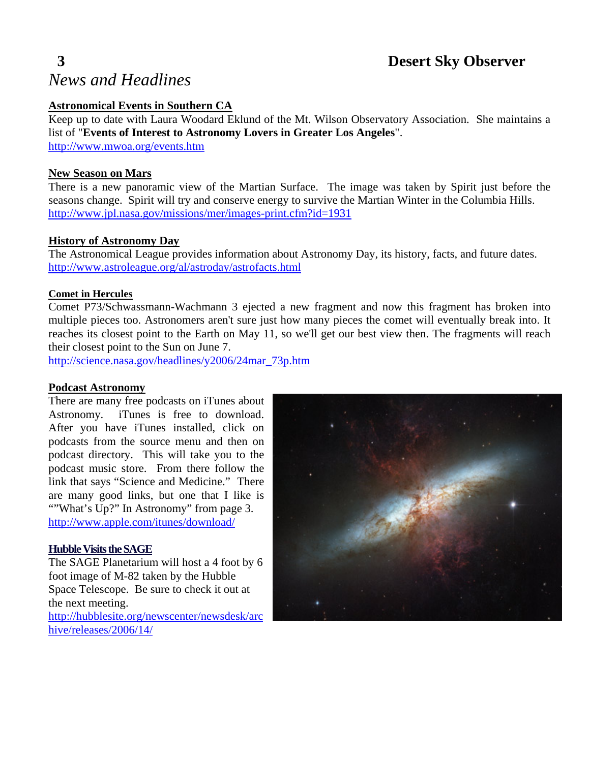## **3 Desert Sky Observer**

## *News and Headlines*

#### **Astronomical Events in Southern CA**

Keep up to date with Laura Woodard Eklund of the Mt. Wilson Observatory Association. She maintains a list of "**Events of Interest to Astronomy Lovers in Greater Los Angeles**".

<http://www.mwoa.org/events.htm>

#### **New Season on Mars**

There is a new panoramic view of the Martian Surface. The image was taken by Spirit just before the seasons change. Spirit will try and conserve energy to survive the Martian Winter in the Columbia Hills. <http://www.jpl.nasa.gov/missions/mer/images-print.cfm?id=1931>

#### **History of Astronomy Day**

The Astronomical League provides information about Astronomy Day, its history, facts, and future dates. <http://www.astroleague.org/al/astroday/astrofacts.html>

#### **Comet in Hercules**

Comet P73/Schwassmann-Wachmann 3 ejected a new fragment and now this fragment has broken into multiple pieces too. Astronomers aren't sure just how many pieces the comet will eventually break into. It reaches its closest point to the Earth on May 11, so we'll get our best view then. The fragments will reach their closest point to the Sun on June 7.

[http://science.nasa.gov/headlines/y2006/24mar\\_73p.htm](http://science.nasa.gov/headlines/y2006/24mar_73p.htm)

#### **Podcast Astronomy**

There are many free podcasts on iTunes about Astronomy. iTunes is free to download. After you have iTunes installed, click on podcasts from the source menu and then on podcast directory. This will take you to the podcast music store. From there follow the link that says "Science and Medicine." There are many good links, but one that I like is ""What's Up?" In Astronomy" from page 3. <http://www.apple.com/itunes/download/>

#### **Hubble Visits the SAGE**

The SAGE Planetarium will host a 4 foot by 6 foot image of M-82 taken by the Hubble Space Telescope. Be sure to check it out at the next meeting. [http://hubblesite.org/ne](http://hubblesite.org/newscenter/newsdesk/archive/releases/2006/14/)wscenter/newsdesk/arc hive/releases/2006/14/

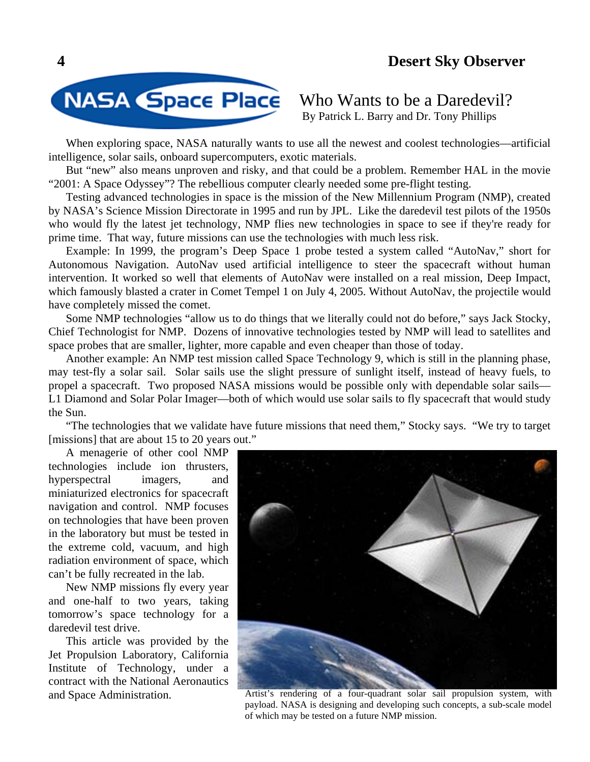

## Who Wants to be a Daredevil?

By Patrick L. Barry and Dr. Tony Phillips

When exploring space, NASA naturally wants to use all the newest and coolest technologies—artificial intelligence, solar sails, onboard supercomputers, exotic materials.

But "new" also means unproven and risky, and that could be a problem. Remember HAL in the movie "2001: A Space Odyssey"? The rebellious computer clearly needed some pre-flight testing.

Testing advanced technologies in space is the mission of the New Millennium Program (NMP), created by NASA's Science Mission Directorate in 1995 and run by JPL. Like the daredevil test pilots of the 1950s who would fly the latest jet technology, NMP flies new technologies in space to see if they're ready for prime time. That way, future missions can use the technologies with much less risk.

Example: In 1999, the program's Deep Space 1 probe tested a system called "AutoNav," short for Autonomous Navigation. AutoNav used artificial intelligence to steer the spacecraft without human intervention. It worked so well that elements of AutoNav were installed on a real mission, Deep Impact, which famously blasted a crater in Comet Tempel 1 on July 4, 2005. Without AutoNav, the projectile would have completely missed the comet.

Some NMP technologies "allow us to do things that we literally could not do before," says Jack Stocky, Chief Technologist for NMP. Dozens of innovative technologies tested by NMP will lead to satellites and space probes that are smaller, lighter, more capable and even cheaper than those of today.

Another example: An NMP test mission called Space Technology 9, which is still in the planning phase, may test-fly a solar sail. Solar sails use the slight pressure of sunlight itself, instead of heavy fuels, to propel a spacecraft. Two proposed NASA missions would be possible only with dependable solar sails— L1 Diamond and Solar Polar Imager—both of which would use solar sails to fly spacecraft that would study the Sun.

"The technologies that we validate have future missions that need them," Stocky says. "We try to target [missions] that are about 15 to 20 years out."

A menagerie of other cool NMP technologies include ion thrusters, hyperspectral imagers, and miniaturized electronics for spacecraft navigation and control. NMP focuses on technologies that have been proven in the laboratory but must be tested in the extreme cold, vacuum, and high radiation environment of space, which can't be fully recreated in the lab.

New NMP missions fly every year and one-half to two years, taking tomorrow's space technology for a daredevil test drive.

This article was provided by the Jet Propulsion Laboratory, California Institute of Technology, under a contract with the National Aeronautics and Space Administration.



Artist's rendering of a four-quadrant solar sail propulsion system, with payload. NASA is designing and developing such concepts, a sub-scale model of which may be tested on a future NMP mission.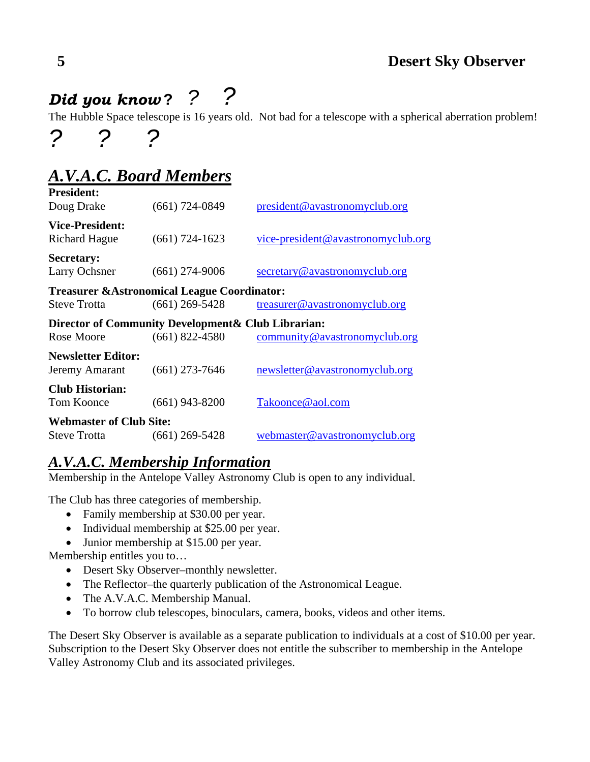## *Did you know* **?** *? ?*

The Hubble Space telescope is 16 years old. Not bad for a telescope with a spherical aberration problem! *? ? ?*

## *A.V.A.C. Board Members*

| <b>President:</b><br>Doug Drake                                                                                                     | $(661)$ 724-0849   | president@avastronomyclub.org      |
|-------------------------------------------------------------------------------------------------------------------------------------|--------------------|------------------------------------|
| <b>Vice-President:</b><br><b>Richard Hague</b>                                                                                      | $(661) 724 - 1623$ | vice-president@avastronomyclub.org |
| Secretary:<br>Larry Ochsner                                                                                                         | $(661)$ 274-9006   | secretary@avastronomyclub.org      |
| <b>Treasurer &amp; Astronomical League Coordinator:</b><br>$(661)$ 269-5428<br>treasurer@avastronomyclub.org<br><b>Steve Trotta</b> |                    |                                    |
| Director of Community Development & Club Librarian:<br>$(661)$ 822-4580<br>Rose Moore<br>community@avastronomyclub.org              |                    |                                    |
| <b>Newsletter Editor:</b><br>Jeremy Amarant                                                                                         | $(661)$ 273-7646   | newsletter@avastronomyclub.org     |

| <b>Club Historian:</b>         |                  |                               |
|--------------------------------|------------------|-------------------------------|
| Tom Koonce                     | $(661)$ 943-8200 | Takoonce@aol.com              |
| <b>Webmaster of Club Site:</b> |                  |                               |
| <b>Steve Trotta</b>            | $(661)$ 269-5428 | webmaster@avastronomyclub.org |

## *A.V.A.C. Membership Information*

Membership in the Antelope Valley Astronomy Club is open to any individual.

The Club has three categories of membership.

- Family membership at \$30.00 per year.
- Individual membership at \$25.00 per year.
- Junior membership at \$15.00 per year.

Membership entitles you to…

- Desert Sky Observer–monthly newsletter.
- The Reflector–the quarterly publication of the Astronomical League.
- The A.V.A.C. Membership Manual.
- To borrow club telescopes, binoculars, camera, books, videos and other items.

The Desert Sky Observer is available as a separate publication to individuals at a cost of \$10.00 per year. Subscription to the Desert Sky Observer does not entitle the subscriber to membership in the Antelope Valley Astronomy Club and its associated privileges.